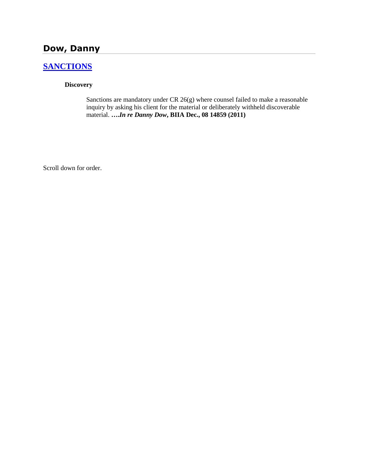# **Dow, Danny**

## **[SANCTIONS](http://www.biia.wa.gov/SDSubjectIndex.html#SANCTIONS)**

### **Discovery**

Sanctions are mandatory under CR 26(g) where counsel failed to make a reasonable inquiry by asking his client for the material or deliberately withheld discoverable material. **….***In re Danny Dow***, BIIA Dec., 08 14859 (2011)**

Scroll down for order.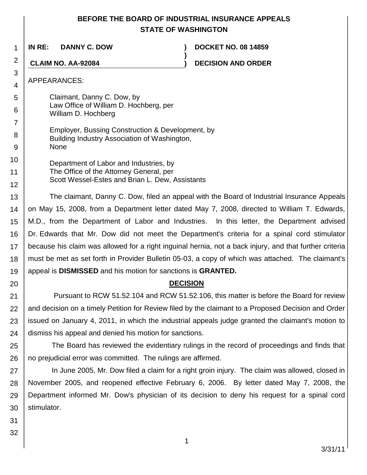## **BEFORE THE BOARD OF INDUSTRIAL INSURANCE APPEALS STATE OF WASHINGTON**

**)**

1 **IN RE: DANNY C. DOW ) DOCKET NO. 08 14859**

**CLAIM NO. AA-92084 ) DECISION AND ORDER**

APPEARANCES:

2

3 4

5

6

- Claimant, Danny C. Dow, by Law Office of William D. Hochberg, per William D. Hochberg
- 7 8 9 Employer, Bussing Construction & Development, by Building Industry Association of Washington, None
- 10 11 12 Department of Labor and Industries, by The Office of the Attorney General, per Scott Wessel-Estes and Brian L. Dew, Assistants

13 14 15 16 17 18 19 The claimant, Danny C. Dow, filed an appeal with the Board of Industrial Insurance Appeals on May 15, 2008, from a Department letter dated May 7, 2008, directed to William T. Edwards, M.D., from the Department of Labor and Industries. In this letter, the Department advised Dr. Edwards that Mr. Dow did not meet the Department's criteria for a spinal cord stimulator because his claim was allowed for a right inguinal hernia, not a back injury, and that further criteria must be met as set forth in Provider Bulletin 05-03, a copy of which was attached. The claimant's appeal is **DISMISSED** and his motion for sanctions is **GRANTED.** 

## **DECISION**

21 22 23 24 Pursuant to RCW 51.52.104 and RCW 51.52.106, this matter is before the Board for review and decision on a timely Petition for Review filed by the claimant to a Proposed Decision and Order issued on January 4, 2011, in which the industrial appeals judge granted the claimant's motion to dismiss his appeal and denied his motion for sanctions.

25 26 The Board has reviewed the evidentiary rulings in the record of proceedings and finds that no prejudicial error was committed. The rulings are affirmed.

27 28 29 30 In June 2005, Mr. Dow filed a claim for a right groin injury. The claim was allowed, closed in November 2005, and reopened effective February 6, 2006. By letter dated May 7, 2008, the Department informed Mr. Dow's physician of its decision to deny his request for a spinal cord stimulator.

31

20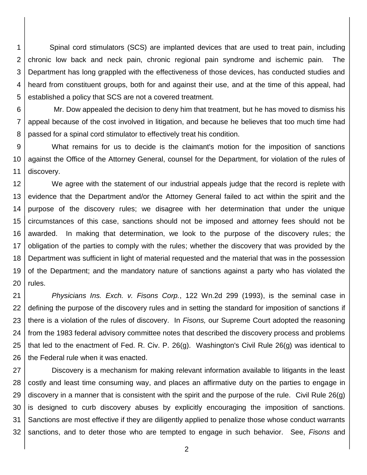1 2 3 4 5 Spinal cord stimulators (SCS) are implanted devices that are used to treat pain, including chronic low back and neck pain, chronic regional pain syndrome and ischemic pain. The Department has long grappled with the effectiveness of those devices, has conducted studies and heard from constituent groups, both for and against their use, and at the time of this appeal, had established a policy that SCS are not a covered treatment.

6 7 8 Mr. Dow appealed the decision to deny him that treatment, but he has moved to dismiss his appeal because of the cost involved in litigation, and because he believes that too much time had passed for a spinal cord stimulator to effectively treat his condition.

9 10 11 What remains for us to decide is the claimant's motion for the imposition of sanctions against the Office of the Attorney General, counsel for the Department, for violation of the rules of discovery.

12 13 14 15 16 17 18 19 20 We agree with the statement of our industrial appeals judge that the record is replete with evidence that the Department and/or the Attorney General failed to act within the spirit and the purpose of the discovery rules; we disagree with her determination that under the unique circumstances of this case, sanctions should not be imposed and attorney fees should not be awarded. In making that determination, we look to the purpose of the discovery rules; the obligation of the parties to comply with the rules; whether the discovery that was provided by the Department was sufficient in light of material requested and the material that was in the possession of the Department; and the mandatory nature of sanctions against a party who has violated the rules.

21 22 23 24 25 26 *Physicians Ins. Exch. v. Fisons Corp.*, 122 Wn.2d 299 (1993), is the seminal case in defining the purpose of the discovery rules and in setting the standard for imposition of sanctions if there is a violation of the rules of discovery. In *Fisons,* our Supreme Court adopted the reasoning from the 1983 federal advisory committee notes that described the discovery process and problems that led to the enactment of Fed. R. Civ. P. 26(g). Washington's Civil Rule 26(g) was identical to the Federal rule when it was enacted.

27 28 29 30 31 32 Discovery is a mechanism for making relevant information available to litigants in the least costly and least time consuming way, and places an affirmative duty on the parties to engage in discovery in a manner that is consistent with the spirit and the purpose of the rule. Civil Rule 26(g) is designed to curb discovery abuses by explicitly encouraging the imposition of sanctions. Sanctions are most effective if they are diligently applied to penalize those whose conduct warrants sanctions, and to deter those who are tempted to engage in such behavior. See, *Fisons* and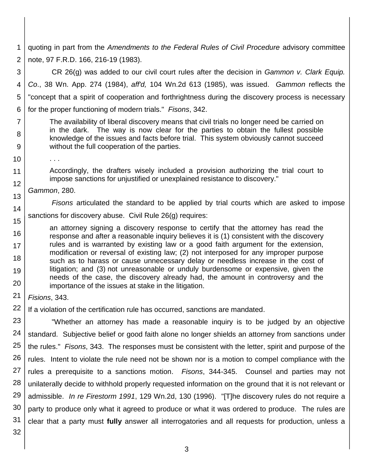1 2 quoting in part from the *Amendments to the Federal Rules of Civil Procedure* advisory committee note, 97 F.R.D. 166, 216-19 (1983).

3 4 5 6 CR 26(g) was added to our civil court rules after the decision in *Gammon v. Clark Equip. Co*., 38 Wn. App. 274 (1984), *aff'd,* 104 Wn.2d 613 (1985), was issued. *Gammon* reflects the "concept that a spirit of cooperation and forthrightness during the discovery process is necessary for the proper functioning of modern trials." *Fisons*, 342.

The availability of liberal discovery means that civil trials no longer need be carried on in the dark. The way is now clear for the parties to obtain the fullest possible knowledge of the issues and facts before trial. This system obviously cannot succeed without the full cooperation of the parties.

. . .

7

8

9

10

11 12

13

14

16

17 18

19

20

Accordingly, the drafters wisely included a provision authorizing the trial court to impose sanctions for unjustified or unexplained resistance to discovery."

*Gammon*, 280.

*Fisons* articulated the standard to be applied by trial courts which are asked to impose

15 sanctions for discovery abuse. Civil Rule 26(g) requires:

an attorney signing a discovery response to certify that the attorney has read the response and after a reasonable inquiry believes it is (1) consistent with the discovery rules and is warranted by existing law or a good faith argument for the extension, modification or reversal of existing law; (2) not interposed for any improper purpose such as to harass or cause unnecessary delay or needless increase in the cost of litigation; and (3) not unreasonable or unduly burdensome or expensive, given the needs of the case, the discovery already had, the amount in controversy and the importance of the issues at stake in the litigation.

21 *Fisions*, 343.

22 If a violation of the certification rule has occurred, sanctions are mandated.

23 24 25 26 27 28 29 30 31 "Whether an attorney has made a reasonable inquiry is to be judged by an objective standard. Subjective belief or good faith alone no longer shields an attorney from sanctions under the rules." *Fisons*, 343. The responses must be consistent with the letter, spirit and purpose of the rules. Intent to violate the rule need not be shown nor is a motion to compel compliance with the rules a prerequisite to a sanctions motion. *Fisons*, 344-345. Counsel and parties may not unilaterally decide to withhold properly requested information on the ground that it is not relevant or admissible. *In re Firestorm 1991*, 129 Wn.2d, 130 (1996). "[T]he discovery rules do not require a party to produce only what it agreed to produce or what it was ordered to produce. The rules are clear that a party must **fully** answer all interrogatories and all requests for production, unless a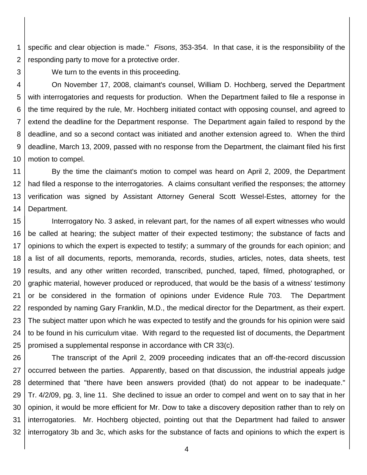1 2 specific and clear objection is made." *Fisons*, 353-354. In that case, it is the responsibility of the responding party to move for a protective order.

3

We turn to the events in this proceeding.

4 5 6 7 8 9 10 On November 17, 2008, claimant's counsel, William D. Hochberg, served the Department with interrogatories and requests for production. When the Department failed to file a response in the time required by the rule, Mr. Hochberg initiated contact with opposing counsel, and agreed to extend the deadline for the Department response. The Department again failed to respond by the deadline, and so a second contact was initiated and another extension agreed to. When the third deadline, March 13, 2009, passed with no response from the Department, the claimant filed his first motion to compel.

11 12 13 14 By the time the claimant's motion to compel was heard on April 2, 2009, the Department had filed a response to the interrogatories. A claims consultant verified the responses; the attorney verification was signed by Assistant Attorney General Scott Wessel-Estes, attorney for the Department.

15 16 17 18 19 20 21 22 23 24 25 Interrogatory No. 3 asked, in relevant part, for the names of all expert witnesses who would be called at hearing; the subject matter of their expected testimony; the substance of facts and opinions to which the expert is expected to testify; a summary of the grounds for each opinion; and a list of all documents, reports, memoranda, records, studies, articles, notes, data sheets, test results, and any other written recorded, transcribed, punched, taped, filmed, photographed, or graphic material, however produced or reproduced, that would be the basis of a witness' testimony or be considered in the formation of opinions under Evidence Rule 703. The Department responded by naming Gary Franklin, M.D., the medical director for the Department, as their expert. The subject matter upon which he was expected to testify and the grounds for his opinion were said to be found in his curriculum vitae. With regard to the requested list of documents, the Department promised a supplemental response in accordance with CR 33(c).

26 27 28 29 30 31 32 The transcript of the April 2, 2009 proceeding indicates that an off-the-record discussion occurred between the parties. Apparently, based on that discussion, the industrial appeals judge determined that "there have been answers provided (that) do not appear to be inadequate." Tr. 4/2/09, pg. 3, line 11. She declined to issue an order to compel and went on to say that in her opinion, it would be more efficient for Mr. Dow to take a discovery deposition rather than to rely on interrogatories. Mr. Hochberg objected, pointing out that the Department had failed to answer interrogatory 3b and 3c, which asks for the substance of facts and opinions to which the expert is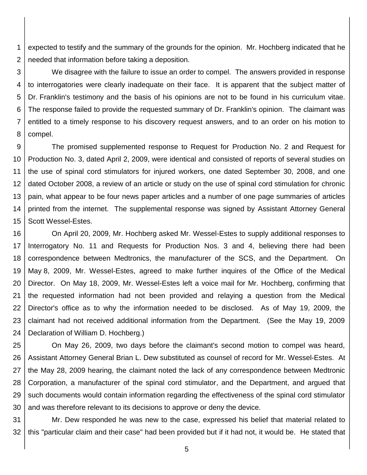1 2 expected to testify and the summary of the grounds for the opinion. Mr. Hochberg indicated that he needed that information before taking a deposition.

3 4 5 6 7 8 We disagree with the failure to issue an order to compel. The answers provided in response to interrogatories were clearly inadequate on their face. It is apparent that the subject matter of Dr. Franklin's testimony and the basis of his opinions are not to be found in his curriculum vitae. The response failed to provide the requested summary of Dr. Franklin's opinion. The claimant was entitled to a timely response to his discovery request answers, and to an order on his motion to compel.

9 10 11 12 13 14 15 The promised supplemented response to Request for Production No. 2 and Request for Production No. 3, dated April 2, 2009, were identical and consisted of reports of several studies on the use of spinal cord stimulators for injured workers, one dated September 30, 2008, and one dated October 2008, a review of an article or study on the use of spinal cord stimulation for chronic pain, what appear to be four news paper articles and a number of one page summaries of articles printed from the internet. The supplemental response was signed by Assistant Attorney General Scott Wessel-Estes.

16 17 18 19 20 21 22 23 24 On April 20, 2009, Mr. Hochberg asked Mr. Wessel-Estes to supply additional responses to Interrogatory No. 11 and Requests for Production Nos. 3 and 4, believing there had been correspondence between Medtronics, the manufacturer of the SCS, and the Department. On May 8, 2009, Mr. Wessel-Estes, agreed to make further inquires of the Office of the Medical Director. On May 18, 2009, Mr. Wessel-Estes left a voice mail for Mr. Hochberg, confirming that the requested information had not been provided and relaying a question from the Medical Director's office as to why the information needed to be disclosed. As of May 19, 2009, the claimant had not received additional information from the Department. (See the May 19, 2009 Declaration of William D. Hochberg.)

25 26 27 28 29 30 On May 26, 2009, two days before the claimant's second motion to compel was heard, Assistant Attorney General Brian L. Dew substituted as counsel of record for Mr. Wessel-Estes. At the May 28, 2009 hearing, the claimant noted the lack of any correspondence between Medtronic Corporation, a manufacturer of the spinal cord stimulator, and the Department, and argued that such documents would contain information regarding the effectiveness of the spinal cord stimulator and was therefore relevant to its decisions to approve or deny the device.

31 32 Mr. Dew responded he was new to the case, expressed his belief that material related to this "particular claim and their case" had been provided but if it had not, it would be. He stated that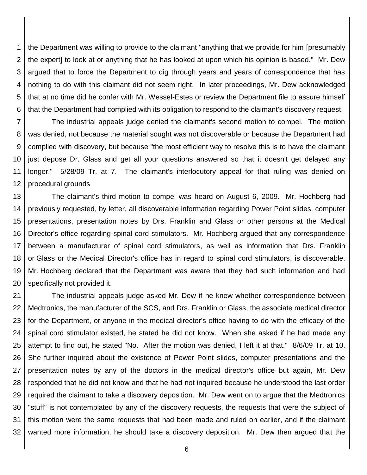1 2 3 4 5 6 the Department was willing to provide to the claimant "anything that we provide for him [presumably the expert] to look at or anything that he has looked at upon which his opinion is based." Mr. Dew argued that to force the Department to dig through years and years of correspondence that has nothing to do with this claimant did not seem right. In later proceedings, Mr. Dew acknowledged that at no time did he confer with Mr. Wessel-Estes or review the Department file to assure himself that the Department had complied with its obligation to respond to the claimant's discovery request.

7 8 9 10 11 12 The industrial appeals judge denied the claimant's second motion to compel. The motion was denied, not because the material sought was not discoverable or because the Department had complied with discovery, but because "the most efficient way to resolve this is to have the claimant just depose Dr. Glass and get all your questions answered so that it doesn't get delayed any longer." 5/28/09 Tr. at 7. The claimant's interlocutory appeal for that ruling was denied on procedural grounds

13 14 15 16 17 18 19 20 The claimant's third motion to compel was heard on August 6, 2009. Mr. Hochberg had previously requested, by letter, all discoverable information regarding Power Point slides, computer presentations, presentation notes by Drs. Franklin and Glass or other persons at the Medical Director's office regarding spinal cord stimulators. Mr. Hochberg argued that any correspondence between a manufacturer of spinal cord stimulators, as well as information that Drs. Franklin or Glass or the Medical Director's office has in regard to spinal cord stimulators, is discoverable. Mr. Hochberg declared that the Department was aware that they had such information and had specifically not provided it.

21 22 23 24 25 26 27 28 29 30 31 32 The industrial appeals judge asked Mr. Dew if he knew whether correspondence between Medtronics, the manufacturer of the SCS, and Drs. Franklin or Glass, the associate medical director for the Department, or anyone in the medical director's office having to do with the efficacy of the spinal cord stimulator existed, he stated he did not know. When she asked if he had made any attempt to find out, he stated "No. After the motion was denied, I left it at that." 8/6/09 Tr. at 10. She further inquired about the existence of Power Point slides, computer presentations and the presentation notes by any of the doctors in the medical director's office but again, Mr. Dew responded that he did not know and that he had not inquired because he understood the last order required the claimant to take a discovery deposition. Mr. Dew went on to argue that the Medtronics "stuff" is not contemplated by any of the discovery requests, the requests that were the subject of this motion were the same requests that had been made and ruled on earlier, and if the claimant wanted more information, he should take a discovery deposition. Mr. Dew then argued that the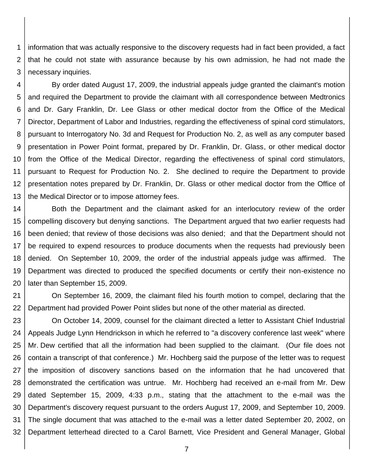1 2 3 information that was actually responsive to the discovery requests had in fact been provided, a fact that he could not state with assurance because by his own admission, he had not made the necessary inquiries.

4 5 6 7 8 9 10 11 12 13 By order dated August 17, 2009, the industrial appeals judge granted the claimant's motion and required the Department to provide the claimant with all correspondence between Medtronics and Dr. Gary Franklin, Dr. Lee Glass or other medical doctor from the Office of the Medical Director, Department of Labor and Industries, regarding the effectiveness of spinal cord stimulators, pursuant to Interrogatory No. 3d and Request for Production No. 2, as well as any computer based presentation in Power Point format, prepared by Dr. Franklin, Dr. Glass, or other medical doctor from the Office of the Medical Director, regarding the effectiveness of spinal cord stimulators, pursuant to Request for Production No. 2. She declined to require the Department to provide presentation notes prepared by Dr. Franklin, Dr. Glass or other medical doctor from the Office of the Medical Director or to impose attorney fees.

14 15 16 17 18 19 20 Both the Department and the claimant asked for an interlocutory review of the order compelling discovery but denying sanctions. The Department argued that two earlier requests had been denied; that review of those decisions was also denied; and that the Department should not be required to expend resources to produce documents when the requests had previously been denied. On September 10, 2009, the order of the industrial appeals judge was affirmed. The Department was directed to produced the specified documents or certify their non-existence no later than September 15, 2009.

21 22 On September 16, 2009, the claimant filed his fourth motion to compel, declaring that the Department had provided Power Point slides but none of the other material as directed.

23 24 25 26 27 28 29 30 31 32 On October 14, 2009, counsel for the claimant directed a letter to Assistant Chief Industrial Appeals Judge Lynn Hendrickson in which he referred to "a discovery conference last week" where Mr. Dew certified that all the information had been supplied to the claimant. (Our file does not contain a transcript of that conference.) Mr. Hochberg said the purpose of the letter was to request the imposition of discovery sanctions based on the information that he had uncovered that demonstrated the certification was untrue. Mr. Hochberg had received an e-mail from Mr. Dew dated September 15, 2009, 4:33 p.m., stating that the attachment to the e-mail was the Department's discovery request pursuant to the orders August 17, 2009, and September 10, 2009. The single document that was attached to the e-mail was a letter dated September 20, 2002, on Department letterhead directed to a Carol Barnett, Vice President and General Manager, Global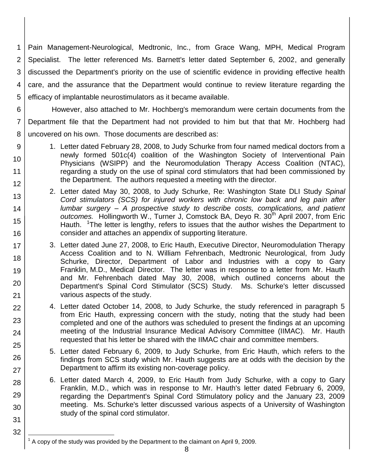1 2 3 4 5 Pain Management-Neurological, Medtronic, Inc., from Grace Wang, MPH, Medical Program Specialist. The letter referenced Ms. Barnett's letter dated September 6, 2002, and generally discussed the Department's priority on the use of scientific evidence in providing effective health care, and the assurance that the Department would continue to review literature regarding the efficacy of implantable neurostimulators as it became available.

6 7 8 However, also attached to Mr. Hochberg's memorandum were certain documents from the Department file that the Department had not provided to him but that that Mr. Hochberg had uncovered on his own. Those documents are described as:

9

10

11 12

13

14

15

16

17

18

19

20

21 22

23

24

25

26

27

28

29

30

31

32

- 1. Letter dated February 28, 2008, to Judy Schurke from four named medical doctors from a newly formed 501c(4) coalition of the Washington Society of Interventional Pain Physicians (WSIPP) and the Neuromodulation Therapy Access Coalition (NTAC), regarding a study on the use of spinal cord stimulators that had been commissioned by the Department. The authors requested a meeting with the director.
	- 2. Letter dated May 30, 2008, to Judy Schurke, Re: Washington State DLI Study *Spinal Cord stimulators (SCS) for injured workers with chronic low back and leg pain after lumbar surgery – A prospective study to describe costs, complications, and patient outcomes.* Hollingworth W., Turner J, Comstock BA, Deyo R. 30<sup>th</sup> April 2007, from Eric Hauth. <sup>1</sup>The letter is lengthy, refers to issues that the author wishes the Department to consider and attaches an appendix of supporting literature.
	- 3. Letter dated June 27, 2008, to Eric Hauth, Executive Director, Neuromodulation Therapy Access Coalition and to N. William Fehrenbach, Medtronic Neurological, from Judy Schurke, Director, Department of Labor and Industries with a copy to Gary Franklin, M.D., Medical Director. The letter was in response to a letter from Mr. Hauth and Mr. Fehrenbach dated May 30, 2008, which outlined concerns about the Department's Spinal Cord Stimulator (SCS) Study. Ms. Schurke's letter discussed various aspects of the study.
	- 4. Letter dated October 14, 2008, to Judy Schurke, the study referenced in paragraph 5 from Eric Hauth, expressing concern with the study, noting that the study had been completed and one of the authors was scheduled to present the findings at an upcoming meeting of the Industrial Insurance Medical Advisory Committee (IIMAC). Mr. Hauth requested that his letter be shared with the IIMAC chair and committee members.
	- 5. Letter dated February 6, 2009, to Judy Schurke, from Eric Hauth, which refers to the findings from SCS study which Mr. Hauth suggests are at odds with the decision by the Department to affirm its existing non-coverage policy.
	- 6. Letter dated March 4, 2009, to Eric Hauth from Judy Schurke, with a copy to Gary Franklin, M.D., which was in response to Mr. Hauth's letter dated February 6, 2009, regarding the Department's Spinal Cord Stimulatory policy and the January 23, 2009 meeting. Ms. Schurke's letter discussed various aspects of a University of Washington study of the spinal cord stimulator.

l 1 A copy of the study was provided by the Department to the claimant on April 9, 2009.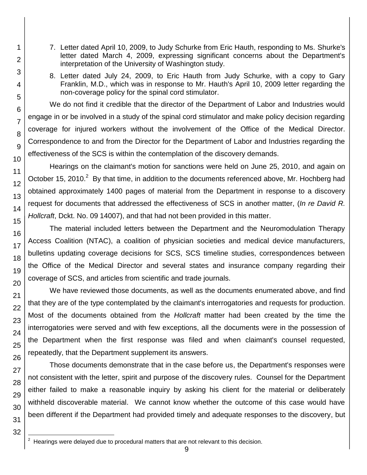- 7. Letter dated April 10, 2009, to Judy Schurke from Eric Hauth, responding to Ms. Shurke's letter dated March 4, 2009, expressing significant concerns about the Department's interpretation of the University of Washington study.
- 8. Letter dated July 24, 2009, to Eric Hauth from Judy Schurke, with a copy to Gary Franklin, M.D., which was in response to Mr. Hauth's April 10, 2009 letter regarding the non-coverage policy for the spinal cord stimulator.

We do not find it credible that the director of the Department of Labor and Industries would engage in or be involved in a study of the spinal cord stimulator and make policy decision regarding coverage for injured workers without the involvement of the Office of the Medical Director. Correspondence to and from the Director for the Department of Labor and Industries regarding the effectiveness of the SCS is within the contemplation of the discovery demands.

Hearings on the claimant's motion for sanctions were held on June 25, 2010, and again on October 15, 2010.<sup>2</sup> By that time, in addition to the documents referenced above, Mr. Hochberg had obtained approximately 1400 pages of material from the Department in response to a discovery request for documents that addressed the effectiveness of SCS in another matter, (*In re David R. Hollcraft*, Dckt. No. 09 14007), and that had not been provided in this matter.

The material included letters between the Department and the Neuromodulation Therapy Access Coalition (NTAC), a coalition of physician societies and medical device manufacturers, bulletins updating coverage decisions for SCS, SCS timeline studies, correspondences between the Office of the Medical Director and several states and insurance company regarding their coverage of SCS, and articles from scientific and trade journals.

We have reviewed those documents, as well as the documents enumerated above, and find that they are of the type contemplated by the claimant's interrogatories and requests for production. Most of the documents obtained from the *Hollcraft* matter had been created by the time the interrogatories were served and with few exceptions, all the documents were in the possession of the Department when the first response was filed and when claimant's counsel requested, repeatedly, that the Department supplement its answers.

Those documents demonstrate that in the case before us, the Department's responses were not consistent with the letter, spirit and purpose of the discovery rules. Counsel for the Department either failed to make a reasonable inquiry by asking his client for the material or deliberately withheld discoverable material. We cannot know whether the outcome of this case would have been different if the Department had provided timely and adequate responses to the discovery, but

l 2

1

2

3

4

5

6

Hearings were delayed due to procedural matters that are not relevant to this decision.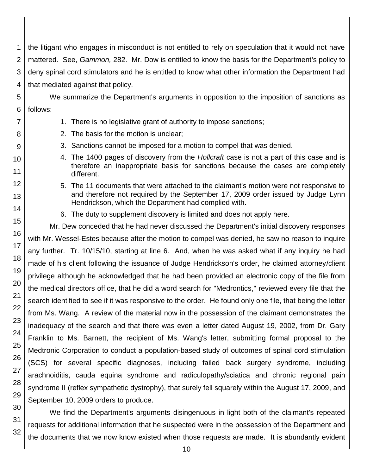1 2 the litigant who engages in misconduct is not entitled to rely on speculation that it would not have mattered. See, *Gammon,* 282. Mr. Dow is entitled to know the basis for the Department's policy to deny spinal cord stimulators and he is entitled to know what other information the Department had that mediated against that policy.

We summarize the Department's arguments in opposition to the imposition of sanctions as follows:

- 1. There is no legislative grant of authority to impose sanctions;
- 2. The basis for the motion is unclear;
- 3. Sanctions cannot be imposed for a motion to compel that was denied.
- 4. The 1400 pages of discovery from the *Hollcraft* case is not a part of this case and is therefore an inappropriate basis for sanctions because the cases are completely different.
- 5. The 11 documents that were attached to the claimant's motion were not responsive to and therefore not required by the September 17, 2009 order issued by Judge Lynn Hendrickson, which the Department had complied with.
- 6. The duty to supplement discovery is limited and does not apply here.

Mr. Dew conceded that he had never discussed the Department's initial discovery responses with Mr. Wessel-Estes because after the motion to compel was denied, he saw no reason to inquire any further. Tr. 10/15/10, starting at line 6. And, when he was asked what if any inquiry he had made of his client following the issuance of Judge Hendrickson's order, he claimed attorney/client privilege although he acknowledged that he had been provided an electronic copy of the file from the medical directors office, that he did a word search for "Medrontics," reviewed every file that the search identified to see if it was responsive to the order. He found only one file, that being the letter from Ms. Wang. A review of the material now in the possession of the claimant demonstrates the inadequacy of the search and that there was even a letter dated August 19, 2002, from Dr. Gary Franklin to Ms. Barnett, the recipient of Ms. Wang's letter, submitting formal proposal to the Medtronic Corporation to conduct a population-based study of outcomes of spinal cord stimulation (SCS) for several specific diagnoses, including failed back surgery syndrome, including arachnoiditis, cauda equina syndrome and radiculopathy/sciatica and chronic regional pain syndrome II (reflex sympathetic dystrophy), that surely fell squarely within the August 17, 2009, and September 10, 2009 orders to produce.

We find the Department's arguments disingenuous in light both of the claimant's repeated requests for additional information that he suspected were in the possession of the Department and the documents that we now know existed when those requests are made. It is abundantly evident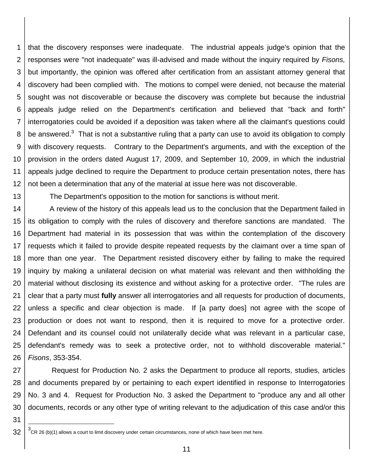1 2 3 4 5 6 7 8 9 10 11 12 that the discovery responses were inadequate. The industrial appeals judge's opinion that the responses were "not inadequate" was ill-advised and made without the inquiry required by *Fisons,* but importantly, the opinion was offered after certification from an assistant attorney general that discovery had been complied with. The motions to compel were denied, not because the material sought was not discoverable or because the discovery was complete but because the industrial appeals judge relied on the Department's certification and believed that "back and forth" interrogatories could be avoided if a deposition was taken where all the claimant's questions could be answered.<sup>3</sup> That is not a substantive ruling that a party can use to avoid its obligation to comply with discovery requests. Contrary to the Department's arguments, and with the exception of the provision in the orders dated August 17, 2009, and September 10, 2009, in which the industrial appeals judge declined to require the Department to produce certain presentation notes, there has not been a determination that any of the material at issue here was not discoverable.

13

The Department's opposition to the motion for sanctions is without merit.

14 15 16 17 18 19 20 21 22 23 24 25 26 A review of the history of this appeals lead us to the conclusion that the Department failed in its obligation to comply with the rules of discovery and therefore sanctions are mandated. The Department had material in its possession that was within the contemplation of the discovery requests which it failed to provide despite repeated requests by the claimant over a time span of more than one year. The Department resisted discovery either by failing to make the required inquiry by making a unilateral decision on what material was relevant and then withholding the material without disclosing its existence and without asking for a protective order. "The rules are clear that a party must **fully** answer all interrogatories and all requests for production of documents, unless a specific and clear objection is made. If [a party does] not agree with the scope of production or does not want to respond, then it is required to move for a protective order. Defendant and its counsel could not unilaterally decide what was relevant in a particular case, defendant's remedy was to seek a protective order, not to withhold discoverable material." *Fisons*, 353-354.

27 28 29 30 Request for Production No. 2 asks the Department to produce all reports, studies, articles and documents prepared by or pertaining to each expert identified in response to Interrogatories No. 3 and 4. Request for Production No. 3 asked the Department to "produce any and all other documents, records or any other type of writing relevant to the adjudication of this case and/or this

31 32

l

<sup>3</sup> CR 26 (b)(1) allows a court to limit discovery under certain circumstances, none of which have been met here.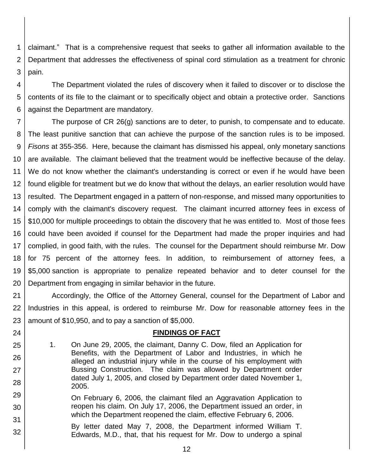1 2 3 claimant." That is a comprehensive request that seeks to gather all information available to the Department that addresses the effectiveness of spinal cord stimulation as a treatment for chronic pain.

4 5 6 The Department violated the rules of discovery when it failed to discover or to disclose the contents of its file to the claimant or to specifically object and obtain a protective order. Sanctions against the Department are mandatory.

7 8 9 10 11 12 13 14 15 16 17 18 19 20 The purpose of CR 26(g) sanctions are to deter, to punish, to compensate and to educate. The least punitive sanction that can achieve the purpose of the sanction rules is to be imposed. *Fisons* at 355-356. Here, because the claimant has dismissed his appeal, only monetary sanctions are available. The claimant believed that the treatment would be ineffective because of the delay. We do not know whether the claimant's understanding is correct or even if he would have been found eligible for treatment but we do know that without the delays, an earlier resolution would have resulted. The Department engaged in a pattern of non-response, and missed many opportunities to comply with the claimant's discovery request. The claimant incurred attorney fees in excess of \$10,000 for multiple proceedings to obtain the discovery that he was entitled to. Most of those fees could have been avoided if counsel for the Department had made the proper inquiries and had complied, in good faith, with the rules. The counsel for the Department should reimburse Mr. Dow for 75 percent of the attorney fees. In addition, to reimbursement of attorney fees, a \$5,000 sanction is appropriate to penalize repeated behavior and to deter counsel for the Department from engaging in similar behavior in the future.

21 22 23 Accordingly, the Office of the Attorney General, counsel for the Department of Labor and Industries in this appeal, is ordered to reimburse Mr. Dow for reasonable attorney fees in the amount of \$10,950, and to pay a sanction of \$5,000.

### **FINDINGS OF FACT**

- 1. On June 29, 2005, the claimant, Danny C. Dow, filed an Application for Benefits, with the Department of Labor and Industries, in which he alleged an industrial injury while in the course of his employment with Bussing Construction. The claim was allowed by Department order dated July 1, 2005, and closed by Department order dated November 1, 2005.
- 29 30 31 On February 6, 2006, the claimant filed an Aggravation Application to reopen his claim. On July 17, 2006, the Department issued an order, in which the Department reopened the claim, effective February 6, 2006.

24 25

26

27

28

32 By letter dated May 7, 2008, the Department informed William T. Edwards, M.D., that, that his request for Mr. Dow to undergo a spinal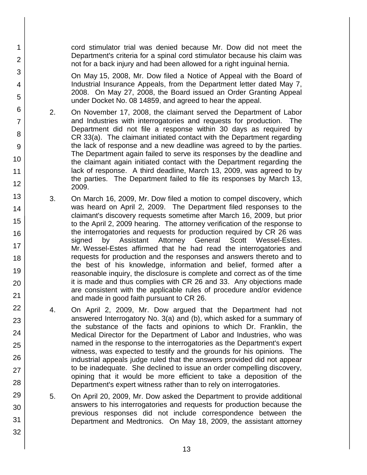cord stimulator trial was denied because Mr. Dow did not meet the Department's criteria for a spinal cord stimulator because his claim was not for a back injury and had been allowed for a right inguinal hernia.

1

2

3

4

5

6

7

8

9

10

11

12

13

14

15

16

17 18

19

20

21 22

23

24

25

26

27

28

29

30

31 32 On May 15, 2008, Mr. Dow filed a Notice of Appeal with the Board of Industrial Insurance Appeals, from the Department letter dated May 7, 2008. On May 27, 2008, the Board issued an Order Granting Appeal under Docket No. 08 14859, and agreed to hear the appeal.

- 2. On November 17, 2008, the claimant served the Department of Labor and Industries with interrogatories and requests for production. The Department did not file a response within 30 days as required by CR 33(a). The claimant initiated contact with the Department regarding the lack of response and a new deadline was agreed to by the parties. The Department again failed to serve its responses by the deadline and the claimant again initiated contact with the Department regarding the lack of response. A third deadline, March 13, 2009, was agreed to by the parties. The Department failed to file its responses by March 13, 2009.
- 3. On March 16, 2009, Mr. Dow filed a motion to compel discovery, which was heard on April 2, 2009. The Department filed responses to the claimant's discovery requests sometime after March 16, 2009, but prior to the April 2, 2009 hearing. The attorney verification of the response to the interrogatories and requests for production required by CR 26 was signed by Assistant Attorney General Scott Wessel-Estes. Mr. Wessel-Estes affirmed that he had read the interrogatories and requests for production and the responses and answers thereto and to the best of his knowledge, information and belief, formed after a reasonable inquiry, the disclosure is complete and correct as of the time it is made and thus complies with CR 26 and 33. Any objections made are consistent with the applicable rules of procedure and/or evidence and made in good faith pursuant to CR 26.
- 4. On April 2, 2009, Mr. Dow argued that the Department had not answered Interrogatory No. 3(a) and (b), which asked for a summary of the substance of the facts and opinions to which Dr. Franklin, the Medical Director for the Department of Labor and Industries, who was named in the response to the interrogatories as the Department's expert witness, was expected to testify and the grounds for his opinions. The industrial appeals judge ruled that the answers provided did not appear to be inadequate. She declined to issue an order compelling discovery, opining that it would be more efficient to take a deposition of the Department's expert witness rather than to rely on interrogatories.
- 5. On April 20, 2009, Mr. Dow asked the Department to provide additional answers to his interrogatories and requests for production because the previous responses did not include correspondence between the Department and Medtronics. On May 18, 2009, the assistant attorney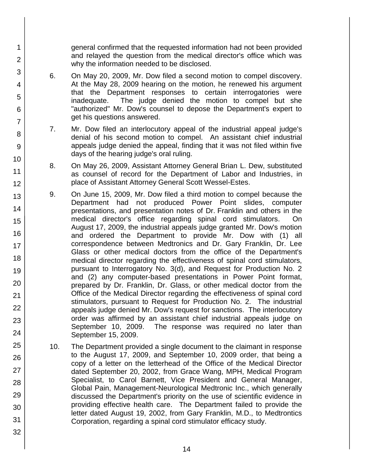general confirmed that the requested information had not been provided and relayed the question from the medical director's office which was why the information needed to be disclosed.

- 6. On May 20, 2009, Mr. Dow filed a second motion to compel discovery. At the May 28, 2009 hearing on the motion, he renewed his argument that the Department responses to certain interrogatories were inadequate. The judge denied the motion to compel but she "authorized" Mr. Dow's counsel to depose the Department's expert to get his questions answered.
- 7. Mr. Dow filed an interlocutory appeal of the industrial appeal judge's denial of his second motion to compel. An assistant chief industrial appeals judge denied the appeal, finding that it was not filed within five days of the hearing judge's oral ruling.
- 8. On May 26, 2009, Assistant Attorney General Brian L. Dew, substituted as counsel of record for the Department of Labor and Industries, in place of Assistant Attorney General Scott Wessel-Estes.
- 9. On June 15, 2009, Mr. Dow filed a third motion to compel because the Department had not produced Power Point slides, computer presentations, and presentation notes of Dr. Franklin and others in the medical director's office regarding spinal cord stimulators. On August 17, 2009, the industrial appeals judge granted Mr. Dow's motion and ordered the Department to provide Mr. Dow with (1) all correspondence between Medtronics and Dr. Gary Franklin, Dr. Lee Glass or other medical doctors from the office of the Department's medical director regarding the effectiveness of spinal cord stimulators, pursuant to Interrogatory No. 3(d), and Request for Production No. 2 and (2) any computer-based presentations in Power Point format, prepared by Dr. Franklin, Dr. Glass, or other medical doctor from the Office of the Medical Director regarding the effectiveness of spinal cord stimulators, pursuant to Request for Production No. 2. The industrial appeals judge denied Mr. Dow's request for sanctions. The interlocutory order was affirmed by an assistant chief industrial appeals judge on September 10, 2009. The response was required no later than September 15, 2009.
	- 10. The Department provided a single document to the claimant in response to the August 17, 2009, and September 10, 2009 order, that being a copy of a letter on the letterhead of the Office of the Medical Director dated September 20, 2002, from Grace Wang, MPH, Medical Program Specialist, to Carol Barnett, Vice President and General Manager, Global Pain, Management-Neurological Medtronic Inc., which generally discussed the Department's priority on the use of scientific evidence in providing effective health care. The Department failed to provide the letter dated August 19, 2002, from Gary Franklin, M.D., to Medtrontics Corporation, regarding a spinal cord stimulator efficacy study.
- 9 10 11 12 13 14 15 16 17 18 19 20 21 22 23 24 25 26 27 28 29 30 31

1

2

3

4

5

6

7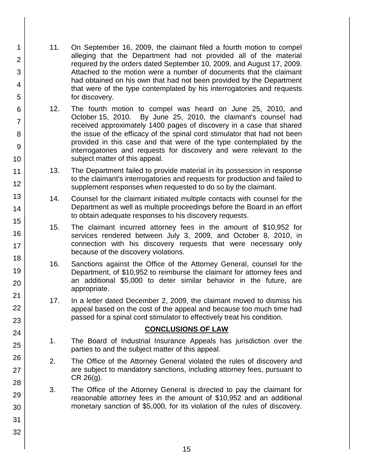- 11. On September 16, 2009, the claimant filed a fourth motion to compel alleging that the Department had not provided all of the material required by the orders dated September 10, 2009, and August 17, 2009. Attached to the motion were a number of documents that the claimant had obtained on his own that had not been provided by the Department that were of the type contemplated by his interrogatories and requests for discovery.
- 12. The fourth motion to compel was heard on June 25, 2010, and October 15, 2010. By June 25, 2010, the claimant's counsel had received approximately 1400 pages of discovery in a case that shared the issue of the efficacy of the spinal cord stimulator that had not been provided in this case and that were of the type contemplated by the interrogatories and requests for discovery and were relevant to the subject matter of this appeal.
- 13. The Department failed to provide material in its possession in response to the claimant's interrogatories and requests for production and failed to supplement responses when requested to do so by the claimant.
- 14. Counsel for the claimant initiated multiple contacts with counsel for the Department as well as multiple proceedings before the Board in an effort to obtain adequate responses to his discovery requests.
- 15. The claimant incurred attorney fees in the amount of \$10,952 for services rendered between July 3, 2009, and October 8, 2010, in connection with his discovery requests that were necessary only because of the discovery violations.
- 16. Sanctions against the Office of the Attorney General, counsel for the Department, of \$10,952 to reimburse the claimant for attorney fees and an additional \$5,000 to deter similar behavior in the future, are appropriate.
- 17. In a letter dated December 2, 2009, the claimant moved to dismiss his appeal based on the cost of the appeal and because too much time had passed for a spinal cord stimulator to effectively treat his condition.

## **CONCLUSIONS OF LAW**

- 1. The Board of Industrial Insurance Appeals has jurisdiction over the parties to and the subject matter of this appeal.
- 2. The Office of the Attorney General violated the rules of discovery and are subject to mandatory sanctions, including attorney fees, pursuant to CR 26(g).
- 3. The Office of the Attorney General is directed to pay the claimant for reasonable attorney fees in the amount of \$10,952 and an additional monetary sanction of \$5,000, for its violation of the rules of discovery.
- 2 3 4 5 6 7 8 9 10 11 12 13 14 15 16 17 18 19 20 21 22 23 24 25 26 27 28 29 30 31 32